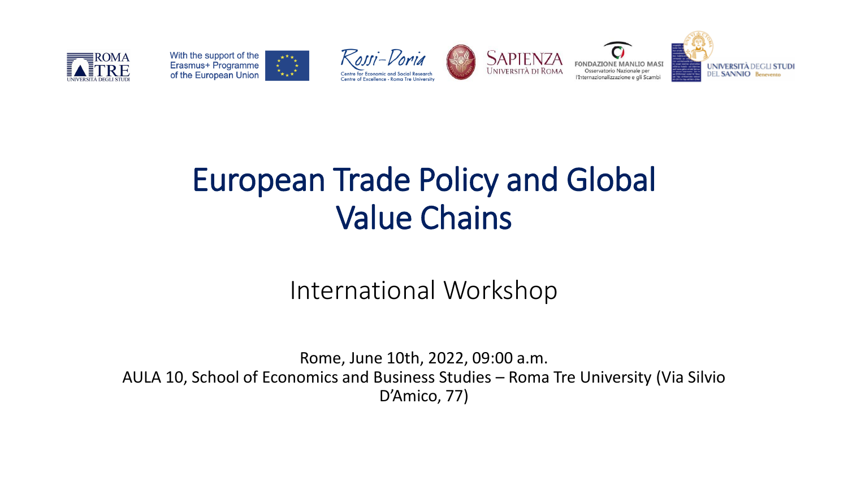











## **European Trade Policy and Global Solution School Value Chains** To attend the Workshop **in presence**, please **REGISTER** by sending an e-mail at centro.rossidoria@uniroma3.it.

## **International Workshop**

**Rome, June 10th, 2022, 09:00 a.m.** AULA 10, School of Economics and Business Studies – Roma Tre University (Via Silvio **Presenter Paper and Authors Discussant**  $D'Amico, 77$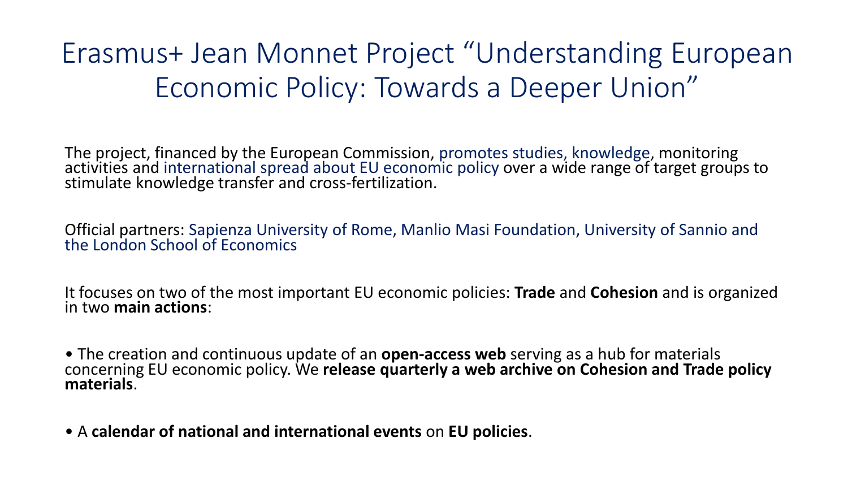## Erasmus+ Jean Monnet Project "Understanding European Economic Policy: Towards a Deeper Union"

The project, financed by the European Commission, promotes studies, knowledge, monitoring activities and international spread about EU economic policy over a wide range of target groups to stimulate knowledge transfer and cross-fertilization.

Official partners: Sapienza University of Rome, Manlio Masi Foundation, University of Sannio and the London School of Economics

It focuses on two of the most important EU economic policies: **Trade** and **Cohesion** and is organized in two **main actions**:

• The creation and continuous update of an **open-access web** serving as a hub for materials concerning EU economic policy. We **release quarterly a web archive on Cohesion and Trade policy materials**.

• A **calendar of national and international events** on **EU policies**.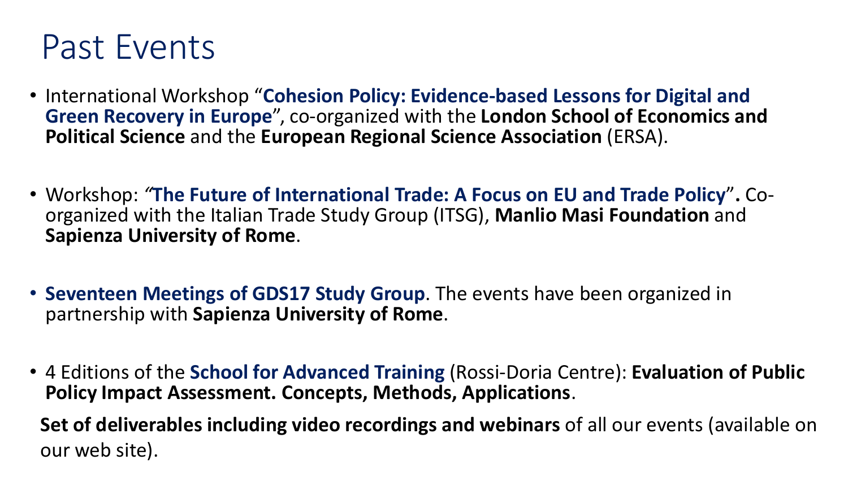## Past Events

- International Workshop "**Cohesion Policy: Evidence-based Lessons for Digital and Green Recovery in Europe**", co-organized with the **London School of Economics and Political Science** and the **European Regional Science Association** (ERSA).
- Workshop: *"***The Future of International Trade: A Focus on EU and Trade Policy**"**.** Coorganized with the Italian Trade Study Group (ITSG), **Manlio Masi Foundation** and **Sapienza University of Rome**.
- **Seventeen Meetings of GDS17 Study Group**. The events have been organized in partnership with **Sapienza University of Rome**.
- 4 Editions of the **School for Advanced Training** (Rossi-Doria Centre): **Evaluation of Public Policy Impact Assessment. Concepts, Methods, Applications**.

**Set of deliverables including video recordings and webinars** of all our events (available on our web site).